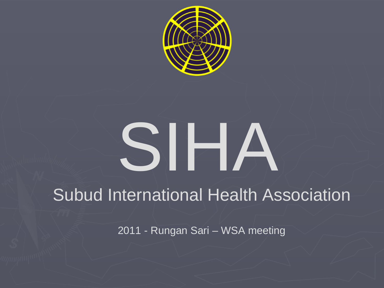

# SIHA

## **Subud International Health Association**

2011 - Rungan Sari - WSA meeting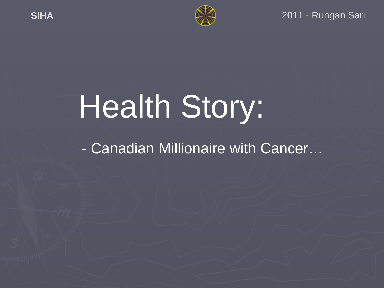

#### 2011 - Rungan Sari

## Health Story:

- Canadian Millionaire with Cancer...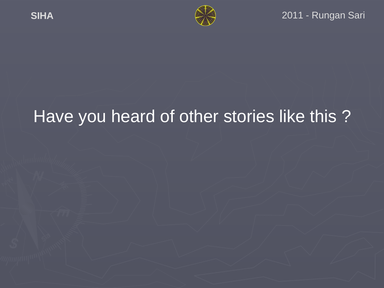

## Have you heard of other stories like this ?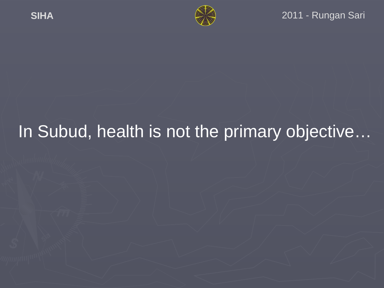

#### 2011 - Rungan Sari

## In Subud, health is not the primary objective...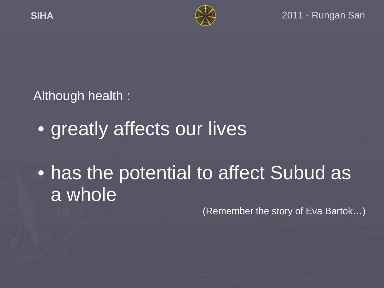

#### Although health :

## • greatly affects our lives

## • has the potential to affect Subud as a whole

(Remember the story of Eva Bartok…)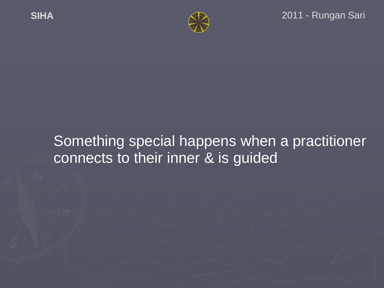

## Something special happens when a practitioner connects to their inner & is guided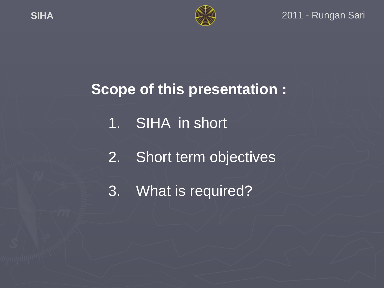

## **Scope of this presentation :**

- 1. SIHA in short
- 2. Short term objectives
- 3. What is required?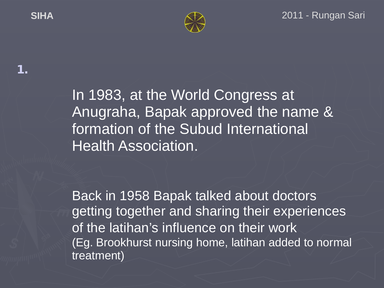**1.**



In 1983, at the World Congress at Anugraha, Bapak approved the name & formation of the Subud International **Health Association.** 

Back in 1958 Bapak talked about doctors getting together and sharing their experiences of the latihan's influence on their work (Eg. Brookhurst nursing home, latihan added to normal treatment)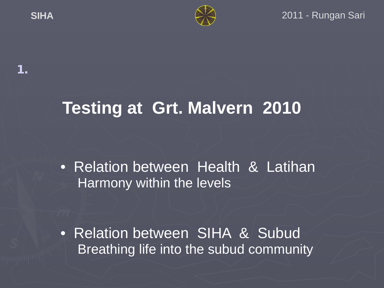**1.**



## **Testing at Grt. Malvern 2010**

• Relation between Health & Latihan Harmony within the levels

• Relation between SIHA & Subud Breathing life into the subud community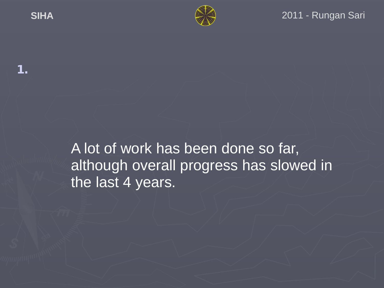**1.**



#### **SIHA** 2011 - Rungan Sari

A lot of work has been done so far, although overall progress has slowed in the last 4 years.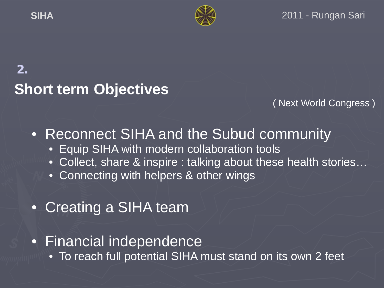

## **2. Short term Objectives**

( Next World Congress )

• Reconnect SIHA and the Subud community

- Equip SIHA with modern collaboration tools
- Collect, share & inspire : talking about these health stories…
- Connecting with helpers & other wings
- Creating a SIHA team
- Financial independence
	- To reach full potential SIHA must stand on its own 2 feet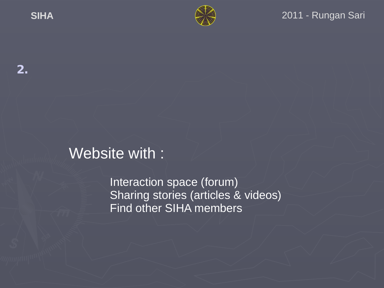

## Website with :

Interaction space (forum) Sharing stories (articles & videos) Find other SIHA members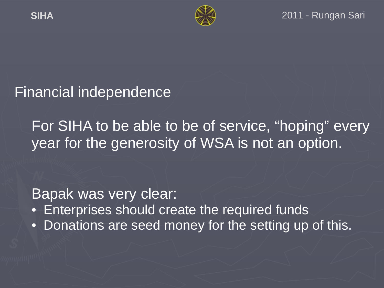

### Financial independence

For SIHA to be able to be of service, "hoping" every year for the generosity of WSA is not an option.

Bapak was very clear:

- Enterprises should create the required funds
- Donations are seed money for the setting up of this.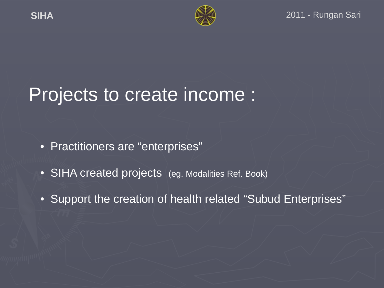

## Projects to create income :

- Practitioners are "enterprises"
- SIHA created projects (eg. Modalities Ref. Book)
- Support the creation of health related "Subud Enterprises"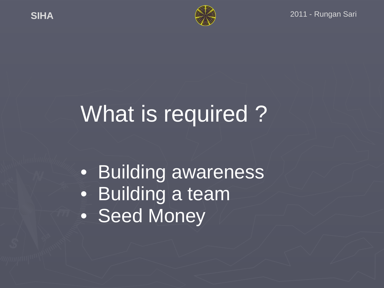

## What is required ?

• Building awareness • Building a team • Seed Money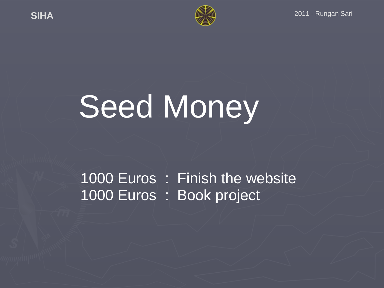

# Seed Money

## 1000 Euros : Finish the website 1000 Euros : Book project